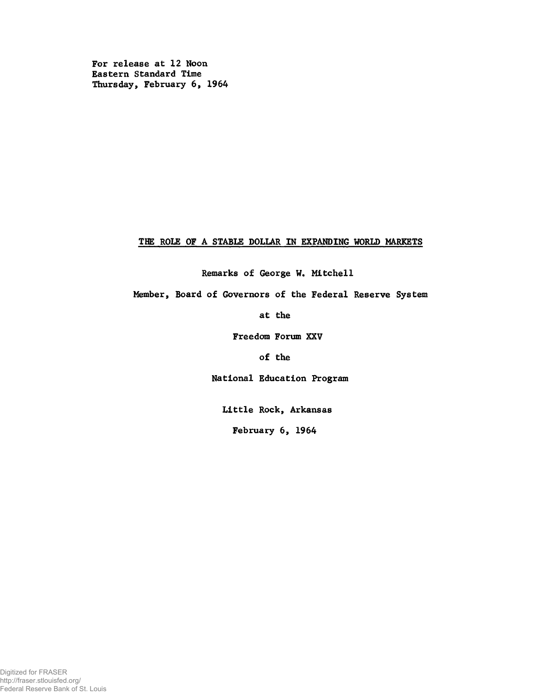For release at 12 Noon Eastern Standard Time Thursday, February 6, 1964

# THE ROLE OF A STABLE DOLLAR IN EXPANDING WORLD MARKETS

Remarks of George W. Mitchell

Member, Board of Governors of the Federal Reserve System

at the

Freedom Forum XXV

of the

National Education Program

Little Rock, Arkansas

February 6, 1964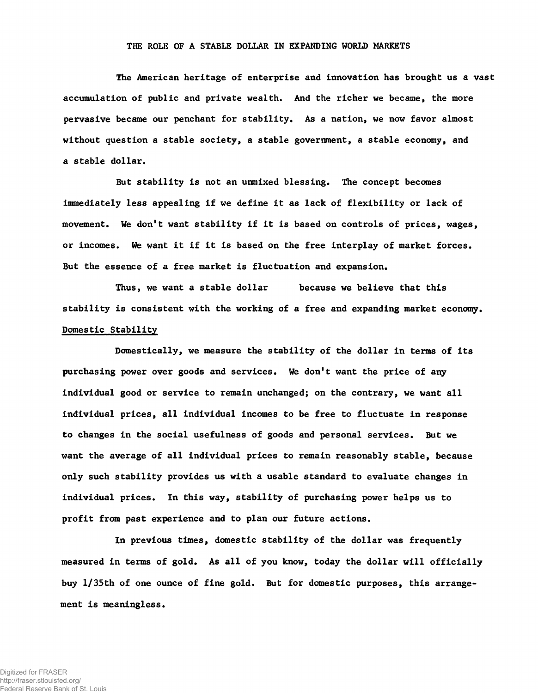#### THE ROLE OF A STABLE DOLLAR IN EXPANDING WORLD MARKETS

The American heritage of enterprise and innovation has brought us a vast accumulation of public and private wealth. And the richer we became, the more pervasive became our penchant for stability. As a nation, we now favor almost without question a stable society, a stable government, a stable economy, and a stable dollar.

But stability is not an unmixed blessing. The concept becomes immediately less appealing if we define it as lack of flexibility or lack of movement. We don't want stability if it is based on controls of prices, wages, or incomes. We want it if it is based on the free interplay of market forces. But the essence of a free market is fluctuation and expansion.

Thus, we want a stable dollar because we believe that this stability is consistent with the working of a free and expanding market economy. Domestic Stability

Domestically, we measure the stability of the dollar in terms of its purchasing power over goods and services. We don't want the price of any individual good or service to remain unchanged; on the contrary, we want all individual prices, all individual incomes to be free to fluctuate in response to changes in the social usefulness of goods and personal services. But we want the average of all individual prices to remain reasonably stable, because only such stability provides us with a usable standard to evaluate changes in individual prices. In this way, stability of purchasing power helps us to profit from past experience and to plan our future actions.

In previous times, domestic stability of the dollar was frequently measured in terms of gold. As all of you know, today the dollar will officially buy l/35th of one ounce of fine gold. But for domestic purposes, this arrangement is meaningless.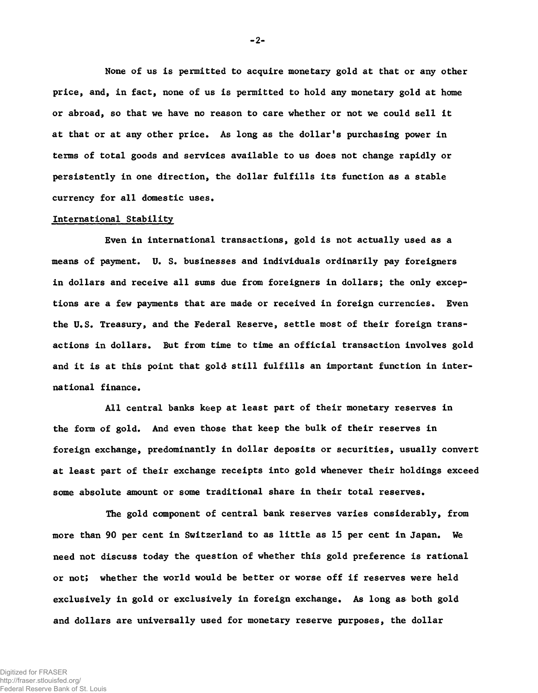None of us is permitted to acquire monetary gold at that or any other price, and, in fact, none of us is permitted to hold any monetary gold at home or abroad, so that we have no reason to care whether or not we could sell it at that or at any other price. As long as the dollar's purchasing power in terms of total goods and services available to us does not change rapidly or persistently in one direction, the dollar fulfills its function as a stable currency for all domestic uses.

## International Stability

Even in international transactions, gold is not actually used as a means of payment. U. S. businesses and individuals ordinarily pay foreigners in dollars and receive all sums due from foreigners in dollars; the only exceptions are a few payments that are made or received in foreign currencies. Even the U.S. Treasury, and the Federal Reserve, settle most of their foreign transactions in dollars. But from time to time an official transaction involves gold and it is at this point that gold still fulfills an important function in international finance.

All central banks keep at least part of their monetary reserves in the form of gold. And even those that keep the bulk of their reserves in foreign exchange, predominantly in dollar deposits or securities, usually convert at least part of their exchange receipts into gold whenever their holdings exceed some absolute amount or some traditional share in their total reserves.

The gold component of central bank reserves varies considerably, from more than 90 per cent in Switzerland to as little as 15 per cent in Japan. We need not discuss today the question of whether this gold preference is rational or not; whether the world would be better or worse off if reserves were held exclusively in gold or exclusively in foreign exchange. As long as both gold and dollars are universally used for monetary reserve purposes, the dollar

-2-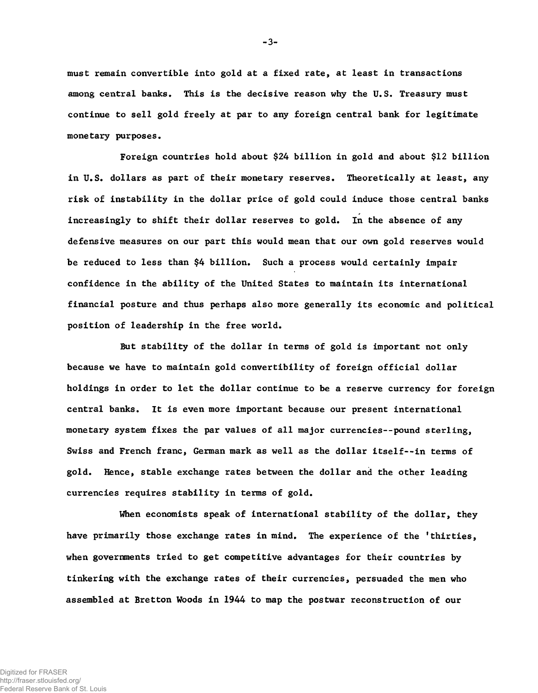must remain convertible into gold at a fixed rate, at least in transactions among central banks. This is the decisive reason why the U.S. Treasury must continue to sell gold freely at par to any foreign central bank for legitimate monetary purposes.

Foreign countries hold about \$24 billion in gold and about \$12 billion in U.S. dollars as part of their monetary reserves. Theoretically at least, any risk of instability in the dollar price of gold could induce those central banks increasingly to shift their dollar reserves to gold. In the absence of any defensive measures on our part this would mean that our own gold reserves would be reduced to less than \$4 billion. Such a process would certainly impair confidence in the ability of the United States to maintain its international financial posture and thus perhaps also more generally its economic and political position of leadership in the free world.

But stability of the dollar in terms of gold is important not only because we have to maintain gold convertibility of foreign official dollar holdings in order to let the dollar continue to be a reserve currency for foreign central banks. It is even more important because our present international monetary system fixes the par values of all major currencies--pound sterling, Swiss and French franc, German mark as well as the dollar itself— in terms of gold. Hence, stable exchange rates between the dollar and the other leading currencies requires stability in terms of gold.

When economists speak of international stability of the dollar, they have primarily those exchange rates in mind. The experience of the 'thirties, when governments tried to get competitive advantages for their countries by tinkering with the exchange rates of their currencies, persuaded the men who assembled at Bretton Woods in 1944 to map the postwar reconstruction of our

-3-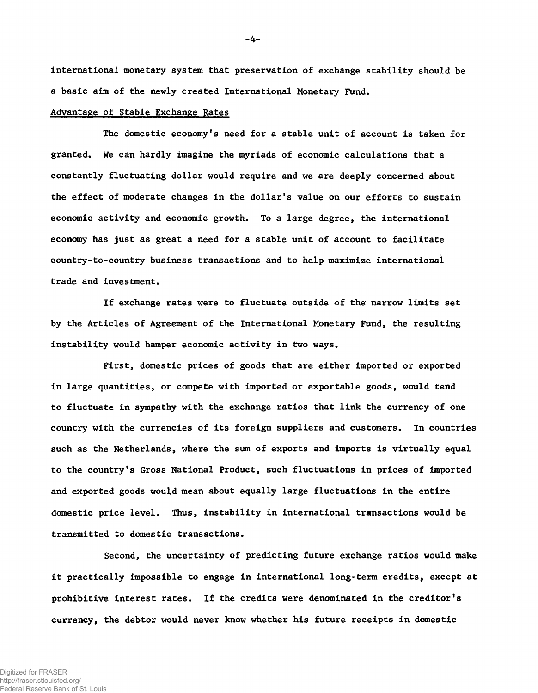international monetary system that preservation of exchange stability should be a basic aim of the newly created International Monetary Fund.

# Advantage of Stable Exchange Rates

The domestic economy's need for a stable unit of account is taken for granted. We can hardly imagine the myriads of economic calculations that a constantly fluctuating dollar would require and we are deeply concerned about the effect of moderate changes in the dollar's value on our efforts to sustain economic activity and economic growth. To a large degree, the international economy has just as great a need for a stable unit of account to facilitate country-to-country business transactions and to help maximize international trade and investment.

If exchange rates were to fluctuate outside of the narrow limits set by the Articles of Agreement of the International Monetary Fund, the resulting instability would hamper economic activity in two ways.

First, domestic prices of goods that are either imported or exported in large quantities, or compete with imported or exportable goods, would tend to fluctuate in sympathy with the exchange ratios that link the currency of one country with the currencies of its foreign suppliers and customers. In countries such as the Netherlands, where the sum of exports and imports is virtually equal to the country's Gross National Product, such fluctuations in prices of imported and exported goods would mean about equally large fluctuations in the entire domestic price level. Thus, instability in international transactions would be transmitted to domestic transactions.

Second, the uncertainty of predicting future exchange ratios would make it practically impossible to engage in international long-term credits, except at prohibitive interest rates. If the credits were denominated in the creditor's currency, the debtor would never know whether his future receipts in domestic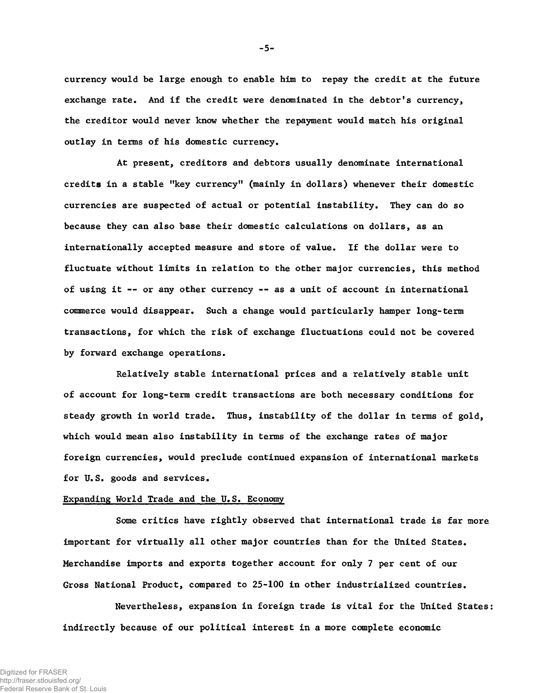currency would be large enough to enable him to repay the credit at the future exchange rate. And if the credit were denominated in the debtor's currency, the creditor would never know whether the repayment would match his original outlay in terms of his domestic currency.

At present, creditors and debtors usually denominate international credits in a stable "key currency" (mainly in dollars) whenever their domestic currencies are suspected of actual or potential instability. They can do so because they can also base their domestic calculations on dollars, as an internationally accepted measure and store of value. If the dollar were to fluctuate without limits in relation to the other major currencies, this method of using it — or any other currency — as a unit of account in international commerce would disappear. Such a change would particularly hamper long-term transactions, for which the risk of exchange fluctuations could not be covered by forward exchange operations.

Relatively stable international prices and a relatively stable unit of account for long-term credit transactions are both necessary conditions for steady growth in world trade. Thus, instability of the dollar in terms of gold, which would mean also instability in terms of the exchange rates of major foreign currencies, would preclude continued expansion of international markets for U.S. goods and services.

### Expanding World Trade and the U.S. Economy

Some critics have rightly observed that international trade is far more important for virtually all other major countries than for the United States. Merchandise imports and exports together account for only 7 per cent of our Gross National Product, compared to 25-100 in other industrialized countries.

Nevertheless, expansion in foreign trade is vital for the United States: indirectly because of our political interest in a more complete economic

-5-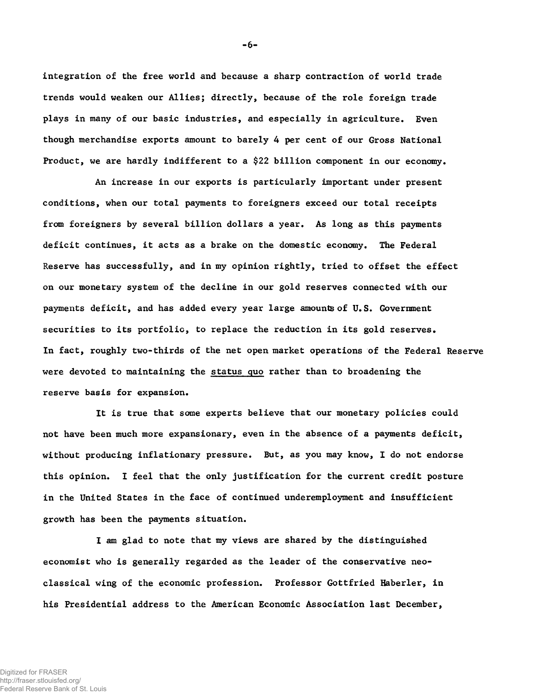integration of the free world and because a sharp contraction of world trade trends would weaken our Allies; directly, because of the role foreign trade plays in many of our basic industries, and especially in agriculture. Even though merchandise exports amount to barely 4 per cent of our Gross National Product, we are hardly indifferent to a \$22 billion component in our economy.

An increase in our exports is particularly important under present conditions, when our total payments to foreigners exceed our total receipts from foreigners by several billion dollars a year. As long as this payments deficit continues, it acts as a brake on the domestic economy. The Federal Reserve has successfully, and in my opinion rightly, tried to offset the effect on our monetary system of the decline in our gold reserves connected with our payments deficit, and has added every year large amounts of U.S. Government securities to its portfolio, to replace the reduction in its gold reserves. In fact, roughly two-thirds of the net open market operations of the Federal Reserve were devoted to maintaining the status quo rather than to broadening the reserve basis for expansion.

It is true that some experts believe that our monetary policies could not have been much more expansionary, even in the absence of a payments deficit, without producing inflationary pressure. But, as you may know, I do not endorse this opinion. I feel that the only justification for the current credit posture in the United States in the face of continued underemployment and insufficient growth has been the payments situation.

I am glad to note that my views are shared by the distinguished economist who is generally regarded as the leader of the conservative neoclassical wing of the economic profession. Professor Gottfried Haberler, in his Presidential address to the American Economic Association last December,

- 6-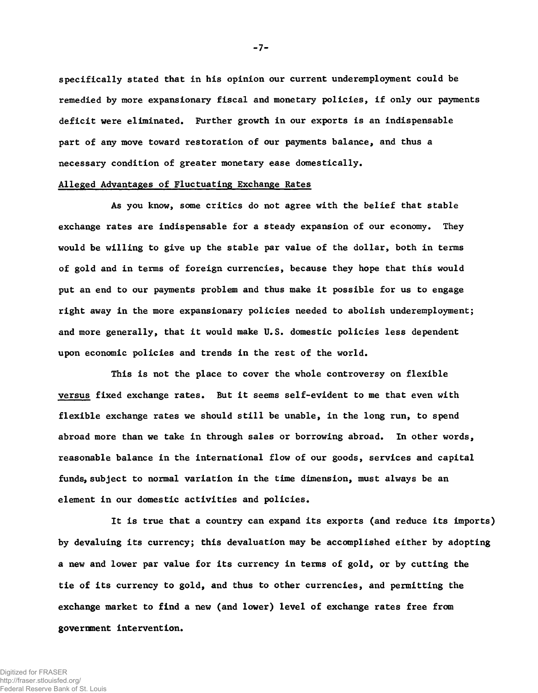specifically stated that in his opinion our current underemployment could be remedied by more expansionary fiscal and monetary policies, if only our payments deficit were eliminated. Further growth in our exports is an indispensable part of any move toward restoration of our payments balance, and thus a necessary condition of greater monetary ease domestically.

# Alleged Advantages of Fluctuating Exchange Rates

As you know, some critics do not agree with the belief that stable exchange rates are indispensable for a steady expansion of our economy. They would be willing to give up the stable par value of the dollar, both in terms of gold and in terms of foreign currencies, because they hope that this would put an end to our payments problem and thus make it possible for us to engage right away in the more expansionary policies needed to abolish underemployment; and more generally, that it would make U.S. domestic policies less dependent upon economic policies and trends in the rest of the world.

This is not the place to cover the whole controversy on flexible versus fixed exchange rates. But it seems self-evident to me that even with flexible exchange rates we should still be unable, in the long run, to spend abroad more than we take in through sales or borrowing abroad. In other words, reasonable balance in the international flow of our goods, services and capital funds, subject to normal variation in the time dimension, must always be an element in our domestic activities and policies.

It is true that a country can expand its exports (and reduce its imports) by devaluing its currency; this devaluation may be accomplished either by adopting a new and lower par value for its currency in terms of gold, or by cutting the tie of its currency to gold, and thus to other currencies, and permitting the exchange market to find a new (and lower) level of exchange rates free from government intervention.

-7-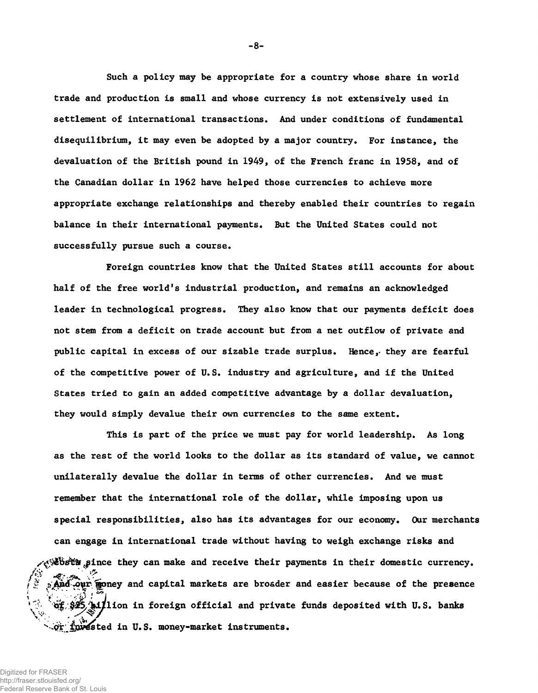Such a policy may be appropriate for a country whose share in world trade and production is small and whose currency is not extensively used in settlement of international transactions. And under conditions of fundamental disequilibrium, it may even be adopted by a major country. For instance, the devaluation of the British pound in 1949, of the French franc in 1958, and of the Canadian dollar in 1962 have helped those currencies to achieve more appropriate exchange relationships and thereby enabled their countries to regain balance in their international payments. But the United States could not successfully pursue such a course.

Foreign countries know that the United States still accounts for about half of the free world's industrial production, and remains an acknowledged leader in technological progress. They also know that our payments deficit does not stem from a deficit on trade account but from a net outflow of private and public capital in excess of our sizable trade surplus. Hence,< they are fearful of the competitive power of U.S. industry and agriculture, and if the United States tried to gain an added competitive advantage by a dollar devaluation, they would simply devalue their own currencies to the same extent.

This is part of the price we must pay for world leadership. As long as the rest of the world looks to the dollar as its standard of value, we cannot unilaterally devalue the dollar in terms of other currencies. And we must remember that the international role of the dollar, while imposing upon us special responsibilities, also has its advantages for our economy. Our merchants can engage in international trade without having to weigh exchange risks and  $\&$ bst's since they can make and receive their payments in their domestic currency. s And our goney and capital markets are broader and easier because of the presence *!* \* 1 of \$25,^bilion in foreign official and private funds deposited with U.S. banks or invested in U.S. money-market instruments.

 $-8-$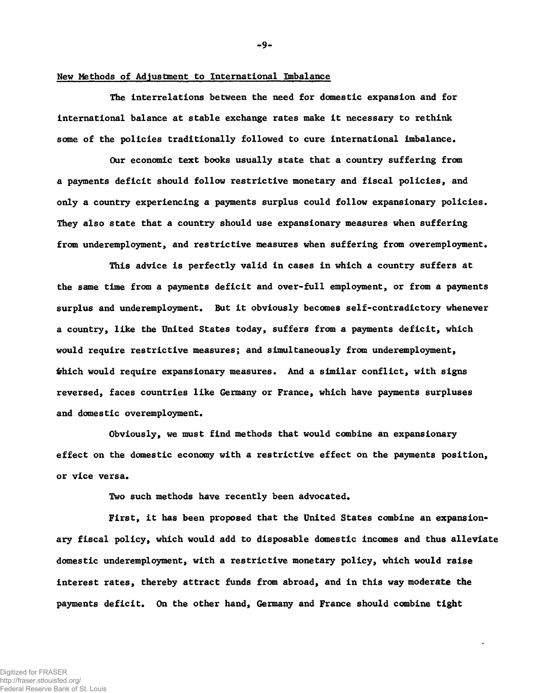#### New Methods of Adjustment to International Imbalance

The interrelations between the need for domestic expansion and for international balance at stable exchange rates make it necessary to rethink some of the policies traditionally followed to cure international imbalance.

Our economic text books usually state that a country suffering from a payments deficit should follow restrictive monetary and fiscal policies, and only a country experiencing a payments surplus could follow expansionary policies. They also state that a country should use expansionary measures when suffering from underemployment, and restrictive measures when suffering from overemployment.

This advice is perfectly valid in cases in which a country suffers at the same time from a payments deficit and over-full employment, or from a payments surplus and underemployment. But it obviously becomes self-contradictory whenever a country, like the United States today, suffers from a payments deficit, which would require restrictive measures; and simultaneously from underemployment, which would require expansionary measures. And a similar conflict, with signs reversed, faces countries like Germany or France, which have payments surpluses and domestic overemployment.

Obviously, we must find methods that would combine an expansionary effect on the domestic economy with a restrictive effect on the payments position, or vice versa.

Two such methods have recently been advocated.

First, it has been proposed that the United States combine an expansionary fiscal policy, which would add to disposable domestic incomes and thus alleviate domestic underemployment, with a restrictive monetary policy, which would raise interest rates, thereby attract funds from abroad, and in this way moderate the payments deficit. On the other hand, Germany and France should combine tight

- 9-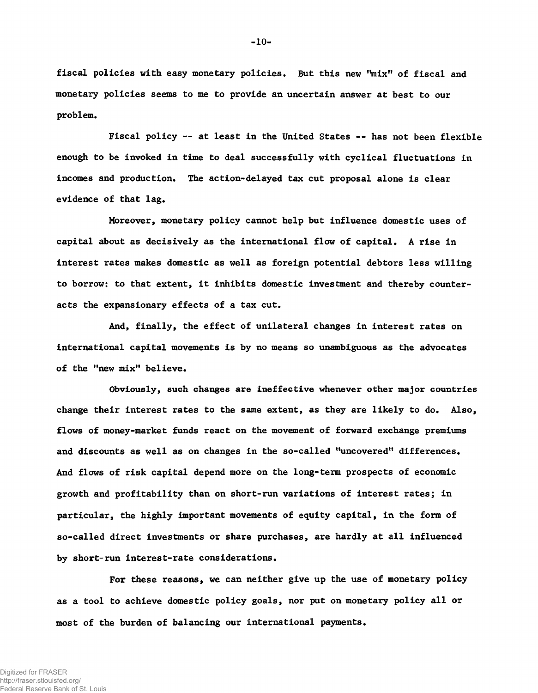fiscal policies with easy monetary policies. But this new "mix" of fiscal and monetary policies seems to me to provide an uncertain answer at best to our problem.

Fiscal policy -- at least in the United States -- has not been flexible enough to be invoked in time to deal successfully with cyclical fluctuations in incomes and production. The action-delayed tax cut proposal alone is clear evidence of that lag.

Moreover, monetary policy cannot help but influence domestic uses of capital about as decisively as the international flow of capital. A rise in interest rates makes domestic as well as foreign potential debtors less willing to borrow: to that extent, it inhibits domestic investment and thereby counteracts the expansionary effects of a tax cut.

And, finally, the effect of unilateral changes in interest rates on international capital movements is by no means so unambiguous as the advocates of the "new mix" believe.

Obviously, such changes are ineffective whenever other major countries change their interest rates to the same extent, as they are likely to do. Also, flows of money-market funds react on the movement of forward exchange premiums and discounts as well as on changes in the so-called "uncovered" differences. And flows of risk capital depend more on the long-term prospects of economic growth and profitability than on short-run variations of interest rates; in particular, the highly important movements of equity capital, in the form of so-called direct investments or share purchases, are hardly at all influenced by short-run interest-rate considerations.

For these reasons, we can neither give up the use of monetary policy as a tool to achieve domestic policy goals, nor put on monetary policy all or most of the burden of balancing our international payments.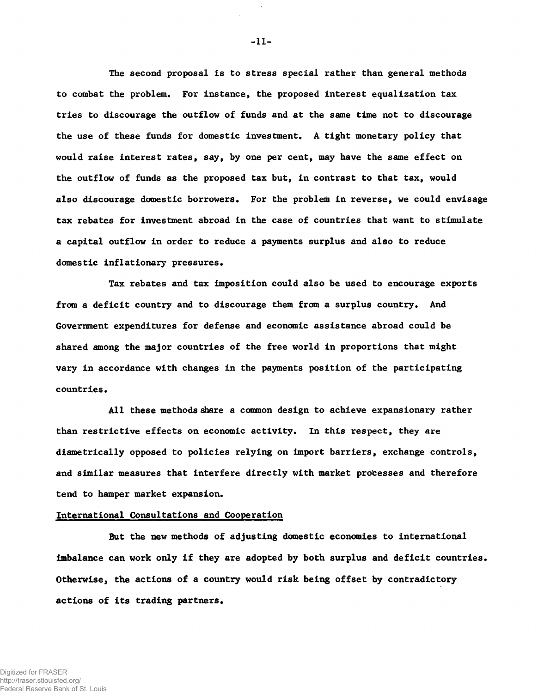The second proposal Is to stress special rather than general methods to combat the problem. For instance, the proposed interest equalization tax tries to discourage the outflow of funds and at the same time not to discourage the use of these funds for domestic investment. A tight monetary policy that would raise interest rates, say, by one per cent, may have the same effect on the outflow of funds as the proposed tax but, in contrast to that tax, would also discourage domestic borrowers. For the problem in reverse, we could envisage tax rebates for investment abroad in the case of countries that want to stimulate a capital outflow in order to reduce a payments surplus and also to reduce domestic inflationary pressures.

Tax rebates and tax imposition could also be used to encourage exports from a deficit country and to discourage them from a surplus country. And Government expenditures for defense and economic assistance abroad could be shared among the major countries of the free world in proportions that might vary in accordance with changes in the payments position of the participating countries.

All these methods share a common design to achieve expansionary rather than restrictive effects on economic activity. In this respect, they are diametrically opposed to policies relying on import barriers, exchange controls, and similar measures that interfere directly with market processes and therefore tend to hamper market expansion.

#### International Consultations and Cooperation

But the new methods of adjusting domestic economies to international imbalance can work only if they are adopted by both surplus and deficit countries. Otherwise, the actions of a country would risk being offset by contradictory actions of its trading partners.

-11-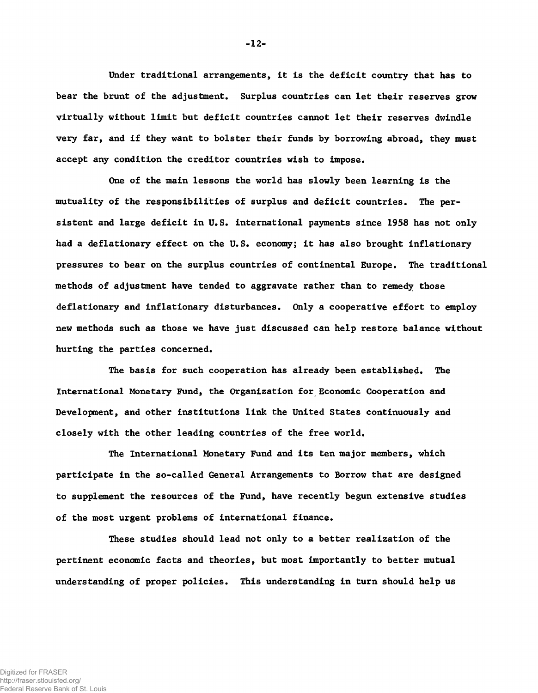Under traditional arrangements, it is the deficit country that has to bear the brunt of the adjustment. Surplus countries can let their reserves grow virtually without limit but deficit countries cannot let their reserves dwindle very far, and if they want to bolster their funds by borrowing abroad, they must accept any condition the creditor countries wish to impose.

One of the main lessons the world has slowly been learning is the mutuality of the responsibilities of surplus and deficit countries. The persistent and large deficit in U.S. international payments since 1958 has not only had a deflationary effect on the U.S. economy; it has also brought inflationary pressures to bear on the surplus countries of continental Europe. The traditional methods of adjustment have tended to aggravate rather than to remedy those deflationary and inflationary disturbances. Only a cooperative effort to employ new methods such as those we have just discussed can help restore balance without hurting the parties concerned.

The basis for such cooperation has already been established. The International Monetary Fund, the Organization for Economic Cooperation and Development, and other institutions link the United States continuously and closely with the other leading countries of the free world.

The International Monetary Fund and its ten major members, which participate in the so-called General Arrangements to Borrow that are designed to supplement the resources of the Fund, have recently begun extensive studies of the most urgent problems of international finance.

These studies should lead not only to a better realization of the pertinent economic facts and theories, but most importantly to better mutual understanding of proper policies. This understanding in turn should help us